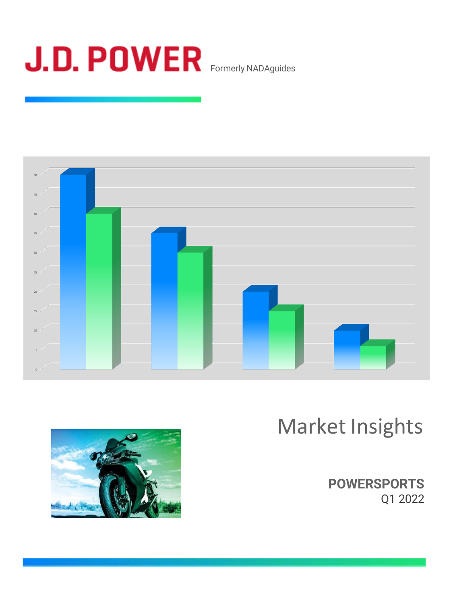



# Market Insights



**POWERSPORTS** Q1 2022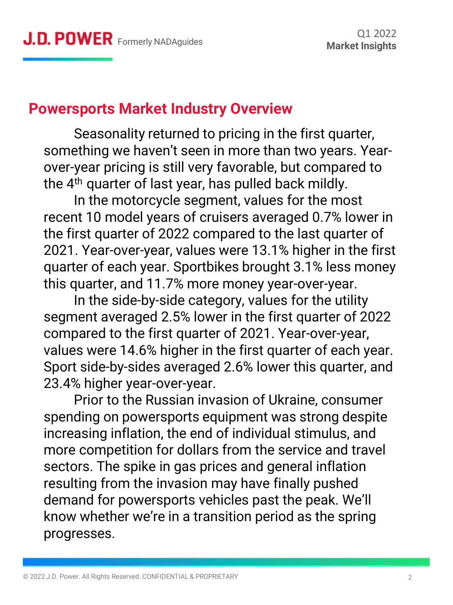### **Powersports Market Industry Overview**

Seasonality returned to pricing in the first quarter, something we haven't seen in more than two years. Yearover-year pricing is still very favorable, but compared to the  $4<sup>th</sup>$  quarter of last year, has pulled back mildly.

In the motorcycle segment, values for the most recent 10 model years of cruisers averaged 0.7% lower in the first quarter of 2022 compared to the last quarter of 2021. Year-over-year, values were 13.1% higher in the first quarter of each year. Sportbikes brought 3.1% less money this quarter, and 11.7% more money year-over-year.

In the side-by-side category, values for the utility segment averaged 2.5% lower in the first quarter of 2022 compared to the first quarter of 2021. Year-over-year, values were 14.6% higher in the first quarter of each year. Sport side-by-sides averaged 2.6% lower this quarter, and 23.4% higher year-over-year.

Prior to the Russian invasion of Ukraine, consumer spending on powersports equipment was strong despite increasing inflation, the end of individual stimulus, and more competition for dollars from the service and travel sectors. The spike in gas prices and general inflation resulting from the invasion may have finally pushed demand for powersports vehicles past the peak. We'll know whether we're in a transition period as the spring progresses.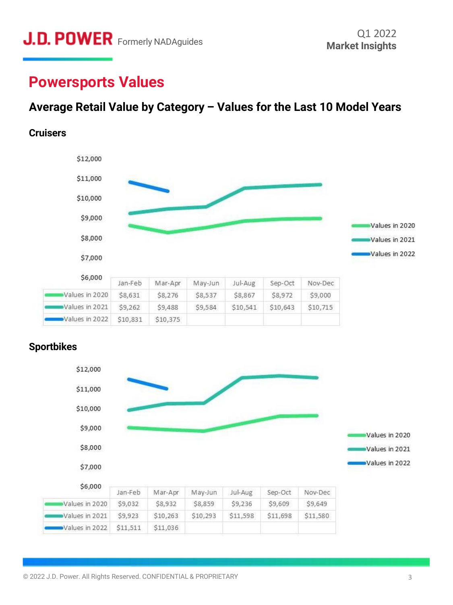### **Powersports Values**

### **Average Retail Value by Category – Values for the Last 10 Model Years**

#### **Cruisers**





#### **Sportbikes**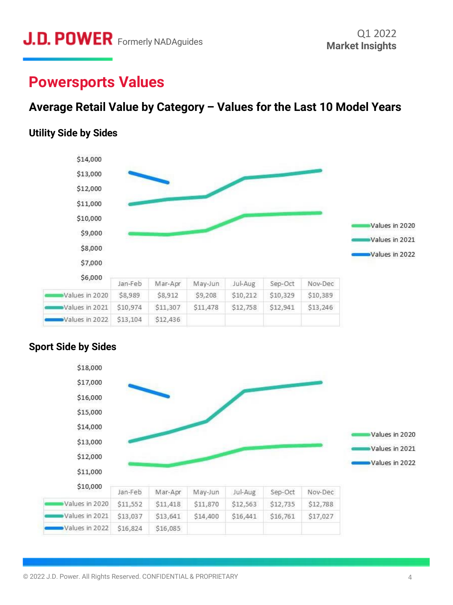### **Powersports Values**

### **Average Retail Value by Category – Values for the Last 10 Model Years**

#### **Utility Side by Sides**





#### **Sport Side by Sides**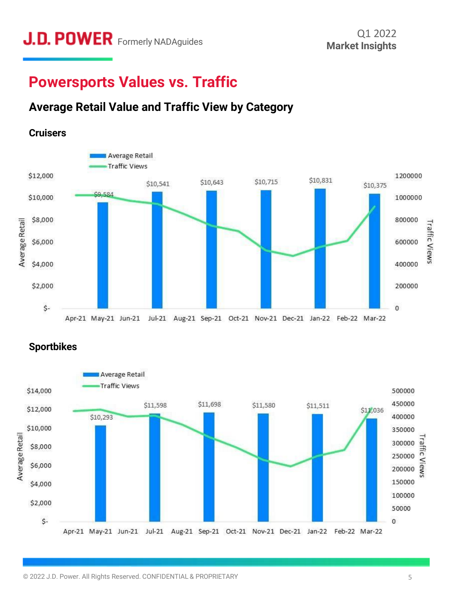### **Powersports Values vs. Traffic**

### **Average Retail Value and Traffic View by Category**



#### **Sportbikes**

**Cruisers**

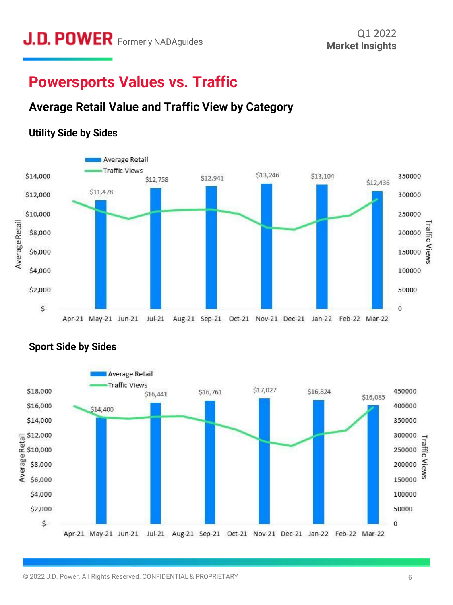### **Powersports Values vs. Traffic**

### **Average Retail Value and Traffic View by Category**







### **Sport Side by Sides**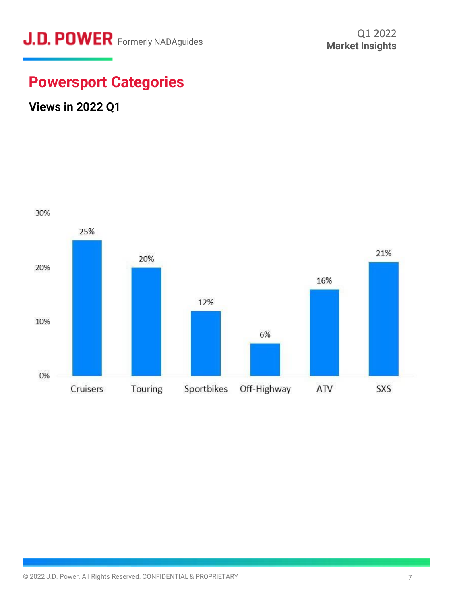### **Powersport Categories**

### **Views in 2022 Q1**

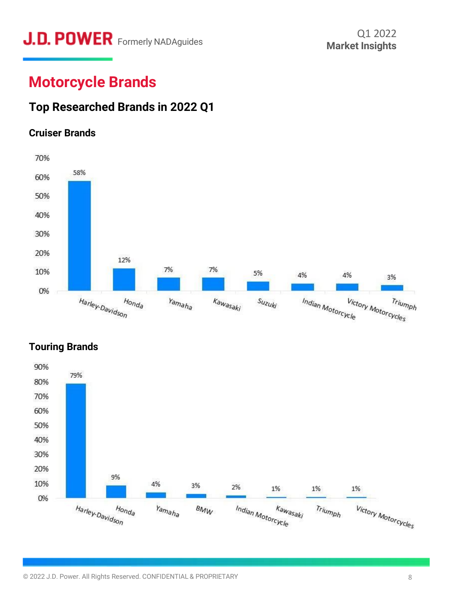# **J.D. POWER** Formerly NADAguides Market Insights

### **Motorcycle Brands**

### **Top Researched Brands in 2022 Q1**

#### **Cruiser Brands**





### **Touring Brands**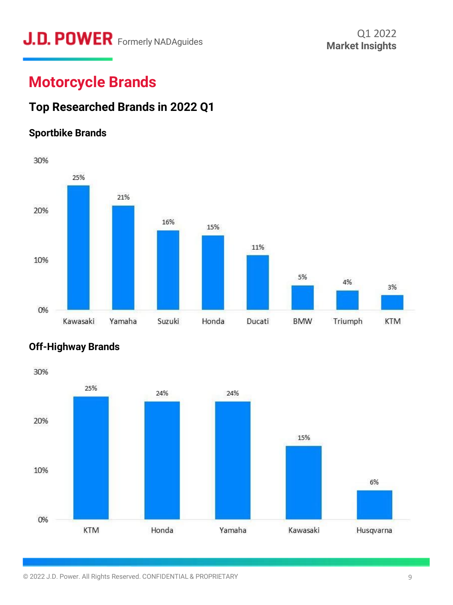# **J.D. POWER** Formerly NADAguides **Containery Market Insights**

### **Motorcycle Brands**

### **Top Researched Brands in 2022 Q1**

### **Sportbike Brands**





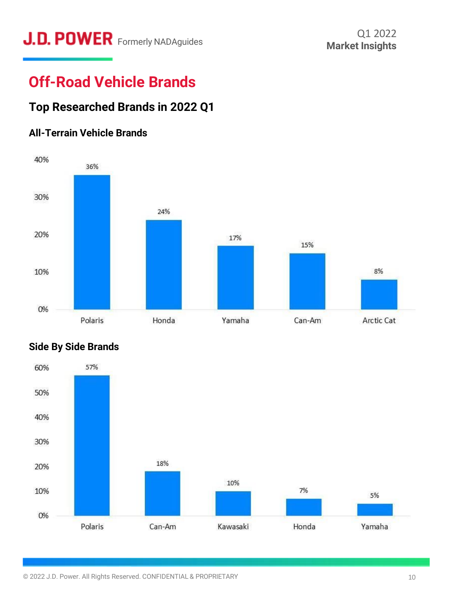# **J.D. POWER** Formerly NADAguides **Containery Market Insights**

## **Off-Road Vehicle Brands**

### **Top Researched Brands in 2022 Q1**

### **All-Terrain Vehicle Brands**





#### **Side By Side Brands**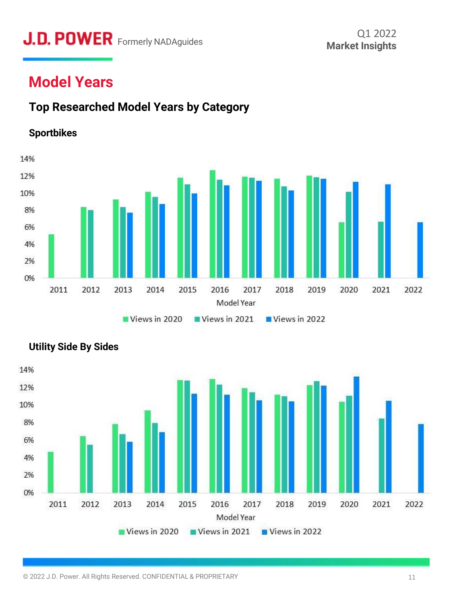# **J.D. POWER** Formerly NADAguides Market Insights

### **Model Years**

### **Top Researched Model Years by Category**







#### **Utility Side By Sides**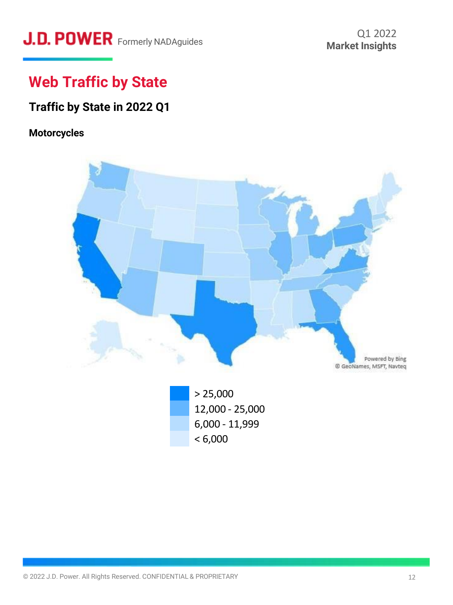# **J.D. POWER** Formerly NADAguides **Containery MADAguides** Market Insights

## **Web Traffic by State**

### **Traffic by State in 2022 Q1**

#### **Motorcycles**

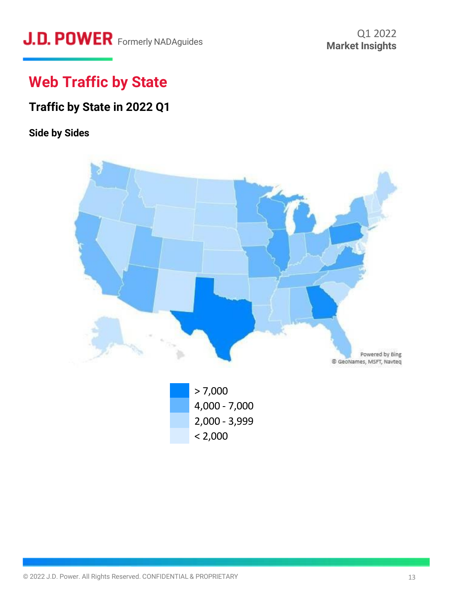# **J.D. POWER** Formerly NADAguides **Containery MADAguides** Market Insights

## **Web Traffic by State**

### **Traffic by State in 2022 Q1**

### **Side by Sides**

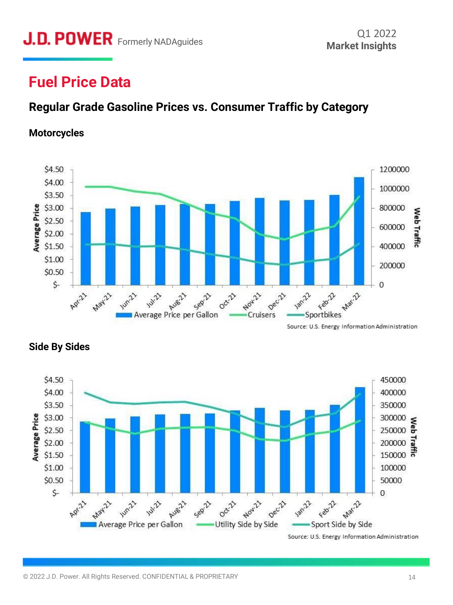### **Fuel Price Data**

### **Regular Grade Gasoline Prices vs. Consumer Traffic by Category**

#### **Motorcycles**



Source: U.S. Energy Information Administration



### **Side By Sides**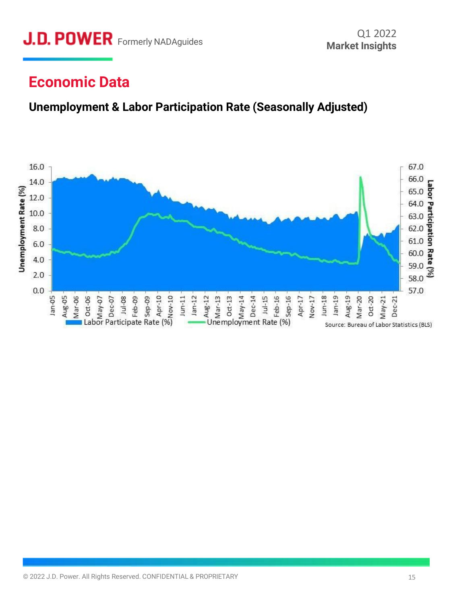### **Economic Data**

### **Unemployment & Labor Participation Rate (Seasonally Adjusted)**